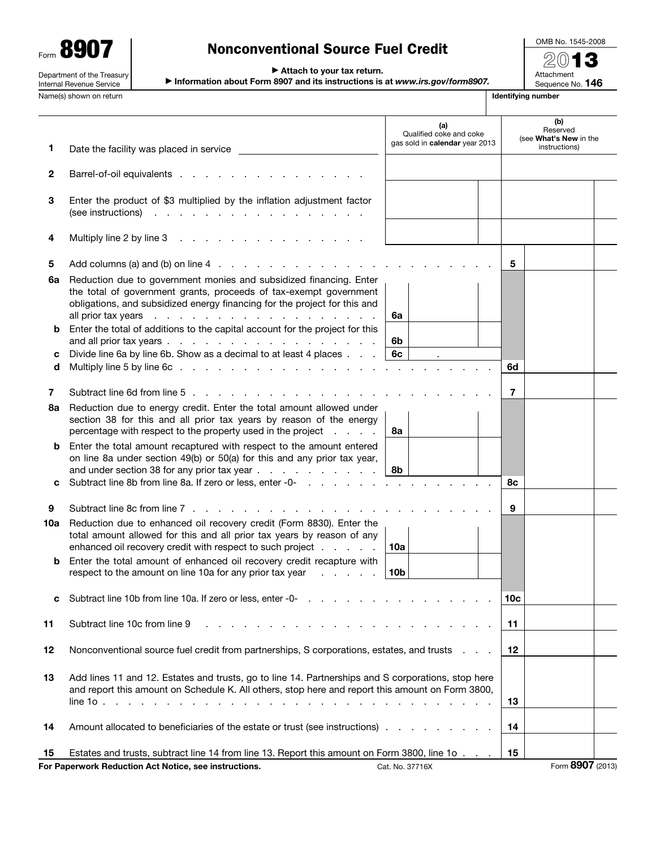| 41<br>Form                                                    |
|---------------------------------------------------------------|
| Department of the Treasury<br><b>Internal Revenue Service</b> |

# Nonconventional Source Fuel Credit

OMB No. 1545-2008 2013 Attachment

Sequence No. 146

▶ Attach to your tax return.

▶ Information about Form 8907 and its instructions is at *www.irs.gov/form8907.*

Name(s) shown on return **Identifying number Identifying number Identifying number** 

|        |                                                                                                                                                                                                                               | (a)<br>Qualified coke and coke<br>gas sold in calendar year 2013 |     | (b)<br>Reserved<br>(see What's New in the |  |  |
|--------|-------------------------------------------------------------------------------------------------------------------------------------------------------------------------------------------------------------------------------|------------------------------------------------------------------|-----|-------------------------------------------|--|--|
| 1      | Date the facility was placed in service                                                                                                                                                                                       |                                                                  |     | instructions)                             |  |  |
| 2      | Barrel-of-oil equivalents                                                                                                                                                                                                     |                                                                  |     |                                           |  |  |
| 3      | Enter the product of \$3 multiplied by the inflation adjustment factor<br>(see instructions)                                                                                                                                  |                                                                  |     |                                           |  |  |
| 4      |                                                                                                                                                                                                                               |                                                                  |     |                                           |  |  |
| 5      |                                                                                                                                                                                                                               |                                                                  | 5   |                                           |  |  |
| 6a     | Reduction due to government monies and subsidized financing. Enter<br>the total of government grants, proceeds of tax-exempt government<br>obligations, and subsidized energy financing for the project for this and          | 6a                                                               |     |                                           |  |  |
| b      | Enter the total of additions to the capital account for the project for this                                                                                                                                                  |                                                                  |     |                                           |  |  |
|        | Divide line 6a by line 6b. Show as a decimal to at least 4 places                                                                                                                                                             | 6b<br>6c                                                         |     |                                           |  |  |
| с<br>d |                                                                                                                                                                                                                               |                                                                  | 6d  |                                           |  |  |
|        |                                                                                                                                                                                                                               |                                                                  |     |                                           |  |  |
| 7      | Subtract line 6d from line 5, etc., etc., etc., etc., etc., etc., etc., etc., etc., etc., etc., etc., etc., etc., etc., etc., etc., etc., etc., etc., etc., etc., etc., etc., etc., etc., etc., etc., etc., etc., etc., etc., |                                                                  | 7   |                                           |  |  |
| 8a     | Reduction due to energy credit. Enter the total amount allowed under<br>section 38 for this and all prior tax years by reason of the energy<br>percentage with respect to the property used in the project                    | 8а                                                               |     |                                           |  |  |
| b      | Enter the total amount recaptured with respect to the amount entered<br>on line 8a under section 49(b) or 50(a) for this and any prior tax year,<br>and under section 38 for any prior tax year                               | 8b                                                               |     |                                           |  |  |
| с      |                                                                                                                                                                                                                               |                                                                  | 8с  |                                           |  |  |
| 9      | Subtract line 8c from line 7                                                                                                                                                                                                  |                                                                  | 9   |                                           |  |  |
| 10a    | Reduction due to enhanced oil recovery credit (Form 8830). Enter the<br>total amount allowed for this and all prior tax years by reason of any<br>enhanced oil recovery credit with respect to such project                   | 10a                                                              |     |                                           |  |  |
| b      | Enter the total amount of enhanced oil recovery credit recapture with<br>respect to the amount on line 10a for any prior tax year                                                                                             | 10 <sub>b</sub>                                                  |     |                                           |  |  |
| c      |                                                                                                                                                                                                                               |                                                                  | 10c |                                           |  |  |
| 11     | Subtract line 10c from line 9                                                                                                                                                                                                 |                                                                  | 11  |                                           |  |  |
| 12     | Nonconventional source fuel credit from partnerships, S corporations, estates, and trusts                                                                                                                                     |                                                                  | 12  |                                           |  |  |
| 13     | Add lines 11 and 12. Estates and trusts, go to line 14. Partnerships and S corporations, stop here<br>and report this amount on Schedule K. All others, stop here and report this amount on Form 3800,                        |                                                                  | 13  |                                           |  |  |
| 14     | Amount allocated to beneficiaries of the estate or trust (see instructions)                                                                                                                                                   |                                                                  | 14  |                                           |  |  |
|        |                                                                                                                                                                                                                               |                                                                  |     |                                           |  |  |
| 15     | Estates and trusts, subtract line 14 from line 13. Report this amount on Form 3800, line 1o<br>For Paperwork Reduction Act Notice, see instructions.                                                                          |                                                                  | 15  | Form 8907 (2013)                          |  |  |
|        |                                                                                                                                                                                                                               | Cat. No. 37716X                                                  |     |                                           |  |  |